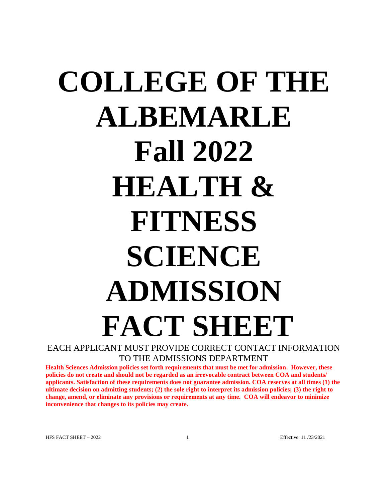# **COLLEGE OF THE ALBEMARLE Fall 2022 HEALTH & FITNESS SCIENCE ADMISSION FACT SHEET** EACH APPLICANT MUST PROVIDE CORRECT CONTACT INFORMATION

TO THE ADMISSIONS DEPARTMENT

**Health Sciences Admission policies set forth requirements that must be met for admission. However, these policies do not create and should not be regarded as an irrevocable contract between COA and students/ applicants. Satisfaction of these requirements does not guarantee admission. COA reserves at all times (1) the ultimate decision on admitting students; (2) the sole right to interpret its admission policies; (3) the right to change, amend, or eliminate any provisions or requirements at any time. COA will endeavor to minimize inconvenience that changes to its policies may create.**

HFS FACT SHEET – 2022 1 and 1 and 1 and 1 and 1 and 1 Effective: 11 /23/2021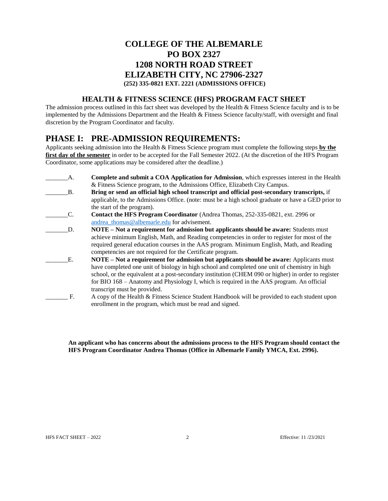## **COLLEGE OF THE ALBEMARLE PO BOX 2327 1208 NORTH ROAD STREET ELIZABETH CITY, NC 27906-2327 (252) 335-0821 EXT. 2221 (ADMISSIONS OFFICE)**

#### **HEALTH & FITNESS SCIENCE (HFS) PROGRAM FACT SHEET**

The admission process outlined in this fact sheet was developed by the Health & Fitness Science faculty and is to be implemented by the Admissions Department and the Health & Fitness Science faculty/staff, with oversight and final discretion by the Program Coordinator and faculty.

## **PHASE I: PRE-ADMISSION REQUIREMENTS:**

Applicants seeking admission into the Health & Fitness Science program must complete the following steps **by the first day of the semester** in order to be accepted for the Fall Semester 2022. (At the discretion of the HFS Program Coordinator, some applications may be considered after the deadline.)

\_\_\_\_\_\_\_A. **Complete and submit a COA Application for Admission**, which expresses interest in the Health & Fitness Science program, to the Admissions Office, Elizabeth City Campus. \_\_\_\_\_\_\_B. **Bring or send an official high school transcript and official post-secondary transcripts,** if applicable, to the Admissions Office. (note: must be a high school graduate or have a GED prior to the start of the program). \_\_\_\_\_\_\_C. **Contact the HFS Program Coordinator** (Andrea Thomas, 252-335-0821, ext. 2996 or andrea thomas@albemarle.edu for advisement. \_\_\_\_\_\_\_D. **NOTE – Not a requirement for admission but applicants should be aware:** Students must achieve minimum English, Math, and Reading competencies in order to register for most of the required general education courses in the AAS program. Minimum English, Math, and Reading competencies are not required for the Certificate program. \_\_\_\_\_\_\_E. **NOTE – Not a requirement for admission but applicants should be aware:** Applicants must have completed one unit of biology in high school and completed one unit of chemistry in high school, or the equivalent at a post-secondary institution (CHEM 090 or higher) in order to register for BIO 168 – Anatomy and Physiology I, which is required in the AAS program. An official transcript must be provided. \_\_\_\_\_\_\_ F. A copy of the Health & Fitness Science Student Handbook will be provided to each student upon enrollment in the program, which must be read and signed.

**An applicant who has concerns about the admissions process to the HFS Program should contact the HFS Program Coordinator Andrea Thomas (Office in Albemarle Family YMCA, Ext. 2996).**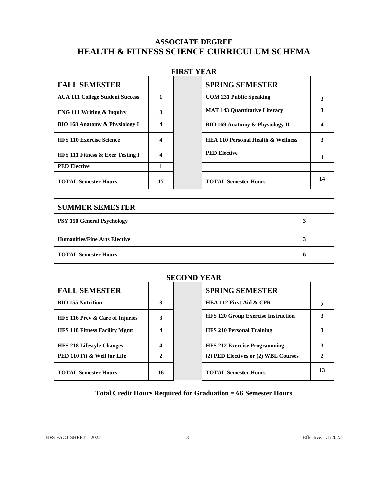## **ASSOCIATE DEGREE HEALTH & FITNESS SCIENCE CURRICULUM SCHEMA**

## **FIRST YEAR**

| <b>FALL SEMESTER</b>                      |    | <b>SPRING SEMESTER</b>                        |  |
|-------------------------------------------|----|-----------------------------------------------|--|
| <b>ACA 111 College Student Success</b>    |    | <b>COM 231 Public Speaking</b>                |  |
| <b>ENG 111 Writing &amp; Inquiry</b>      | 3  | <b>MAT 143 Quantitative Literacy</b>          |  |
| <b>BIO 168 Anatomy &amp; Physiology I</b> | 4  | <b>BIO 169 Anatomy &amp; Physiology II</b>    |  |
| <b>HFS 110 Exercise Science</b>           |    | <b>HEA 110 Personal Health &amp; Wellness</b> |  |
| HFS 111 Fitness & Exer Testing I          | 4  | <b>PED Elective</b>                           |  |
| <b>PED Elective</b>                       |    |                                               |  |
| <b>TOTAL Semester Hours</b>               | 17 | <b>TOTAL Semester Hours</b>                   |  |

| <b>SPRING SEMESTER</b>                        |    |
|-----------------------------------------------|----|
| <b>COM 231 Public Speaking</b>                | 3  |
| <b>MAT 143 Quantitative Literacy</b>          | 3  |
| <b>BIO 169 Anatomy &amp; Physiology II</b>    | 4  |
| <b>HEA 110 Personal Health &amp; Wellness</b> | 3  |
| <b>PED Elective</b>                           | 1  |
|                                               |    |
| <b>TOTAL Semester Hours</b>                   | 14 |

| <b>SUMMER SEMESTER</b>               |  |
|--------------------------------------|--|
| <b>PSY 150 General Psychology</b>    |  |
| <b>Humanities/Fine Arts Elective</b> |  |
| <b>TOTAL Semester Hours</b>          |  |

#### **SECOND YEAR**

| <b>FALL SEMESTER</b>                       |              | <b>SPRING SEMESTER</b>                    |  |
|--------------------------------------------|--------------|-------------------------------------------|--|
| <b>BIO 155 Nutrition</b>                   | 3            | <b>HEA 112 First Aid &amp; CPR</b>        |  |
| <b>HFS 116 Prev &amp; Care of Injuries</b> | 3            | <b>HFS 120 Group Exercise Instruction</b> |  |
| <b>HFS 118 Fitness Facility Mgmt</b>       | 4            | <b>HFS 210 Personal Training</b>          |  |
| <b>HFS 218 Lifestyle Changes</b>           | 4            | <b>HFS 212 Exercise Programming</b>       |  |
| <b>PED 110 Fit &amp; Well for Life</b>     | $\mathbf{2}$ | (2) PED Electives or (2) WBL Courses      |  |
| <b>TOTAL Semester Hours</b>                | 16           | <b>TOTAL Semester Hours</b>               |  |

#### **Total Credit Hours Required for Graduation = 66 Semester Hours**